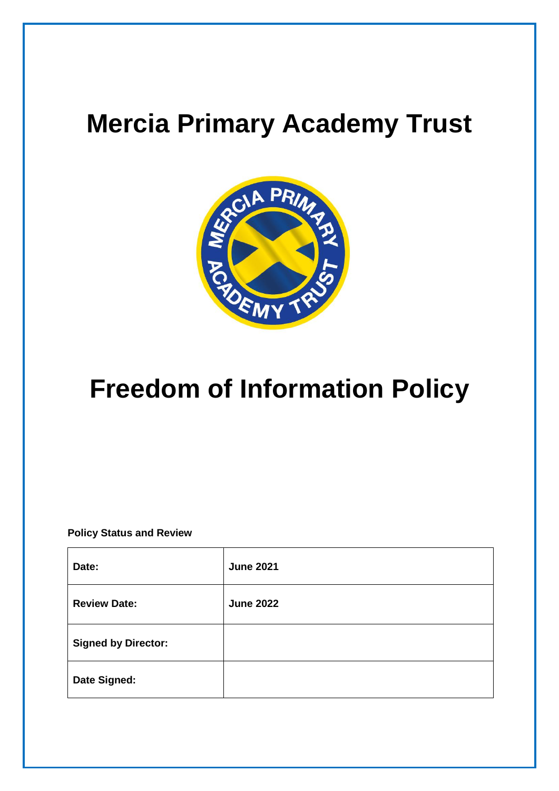# **Mercia Primary Academy Trust**



# **Freedom of Information Policy**

**Policy Status and Review**

| Date:                      | <b>June 2021</b> |
|----------------------------|------------------|
| <b>Review Date:</b>        | <b>June 2022</b> |
| <b>Signed by Director:</b> |                  |
| Date Signed:               |                  |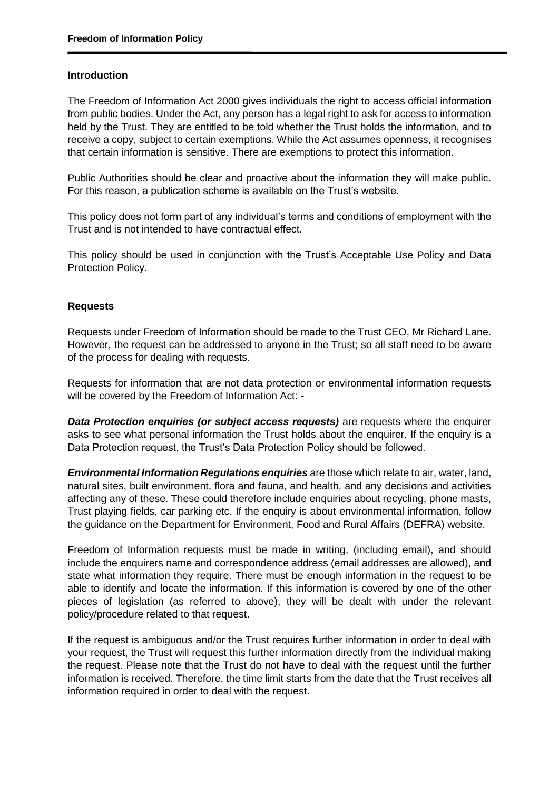#### **Introduction**

The Freedom of Information Act 2000 gives individuals the right to access official information from public bodies. Under the Act, any person has a legal right to ask for access to information held by the Trust. They are entitled to be told whether the Trust holds the information, and to receive a copy, subject to certain exemptions. While the Act assumes openness, it recognises that certain information is sensitive. There are exemptions to protect this information.

Public Authorities should be clear and proactive about the information they will make public. For this reason, a publication scheme is available on the Trust's website.

This policy does not form part of any individual's terms and conditions of employment with the Trust and is not intended to have contractual effect.

This policy should be used in conjunction with the Trust's Acceptable Use Policy and Data Protection Policy.

#### **Requests**

Requests under Freedom of Information should be made to the Trust CEO, Mr Richard Lane. However, the request can be addressed to anyone in the Trust; so all staff need to be aware of the process for dealing with requests.

Requests for information that are not data protection or environmental information requests will be covered by the Freedom of Information Act: -

*Data Protection enquiries (or subject access requests)* are requests where the enquirer asks to see what personal information the Trust holds about the enquirer. If the enquiry is a Data Protection request, the Trust's Data Protection Policy should be followed.

*Environmental Information Regulations enquiries* are those which relate to air, water, land, natural sites, built environment, flora and fauna, and health, and any decisions and activities affecting any of these. These could therefore include enquiries about recycling, phone masts, Trust playing fields, car parking etc. If the enquiry is about environmental information, follow the guidance on the Department for Environment, Food and Rural Affairs (DEFRA) website.

Freedom of Information requests must be made in writing, (including email), and should include the enquirers name and correspondence address (email addresses are allowed), and state what information they require. There must be enough information in the request to be able to identify and locate the information. If this information is covered by one of the other pieces of legislation (as referred to above), they will be dealt with under the relevant policy/procedure related to that request.

If the request is ambiguous and/or the Trust requires further information in order to deal with your request, the Trust will request this further information directly from the individual making the request. Please note that the Trust do not have to deal with the request until the further information is received. Therefore, the time limit starts from the date that the Trust receives all information required in order to deal with the request.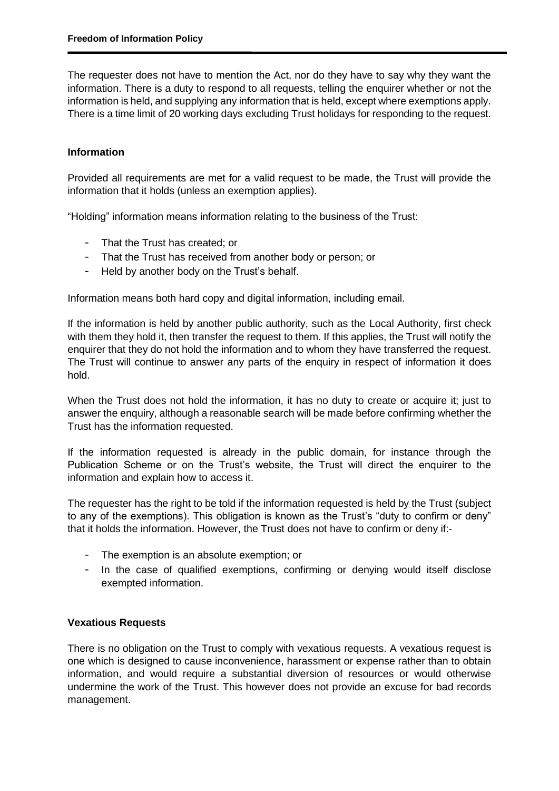The requester does not have to mention the Act, nor do they have to say why they want the information. There is a duty to respond to all requests, telling the enquirer whether or not the information is held, and supplying any information that is held, except where exemptions apply. There is a time limit of 20 working days excluding Trust holidays for responding to the request.

### **Information**

Provided all requirements are met for a valid request to be made, the Trust will provide the information that it holds (unless an exemption applies).

"Holding" information means information relating to the business of the Trust:

- That the Trust has created; or
- That the Trust has received from another body or person; or
- Held by another body on the Trust's behalf.

Information means both hard copy and digital information, including email.

If the information is held by another public authority, such as the Local Authority, first check with them they hold it, then transfer the request to them. If this applies, the Trust will notify the enquirer that they do not hold the information and to whom they have transferred the request. The Trust will continue to answer any parts of the enquiry in respect of information it does hold.

When the Trust does not hold the information, it has no duty to create or acquire it; just to answer the enquiry, although a reasonable search will be made before confirming whether the Trust has the information requested.

If the information requested is already in the public domain, for instance through the Publication Scheme or on the Trust's website, the Trust will direct the enquirer to the information and explain how to access it.

The requester has the right to be told if the information requested is held by the Trust (subject to any of the exemptions). This obligation is known as the Trust's "duty to confirm or deny" that it holds the information. However, the Trust does not have to confirm or deny if:-

- The exemption is an absolute exemption; or
- In the case of qualified exemptions, confirming or denying would itself disclose exempted information.

#### **Vexatious Requests**

There is no obligation on the Trust to comply with vexatious requests. A vexatious request is one which is designed to cause inconvenience, harassment or expense rather than to obtain information, and would require a substantial diversion of resources or would otherwise undermine the work of the Trust. This however does not provide an excuse for bad records management.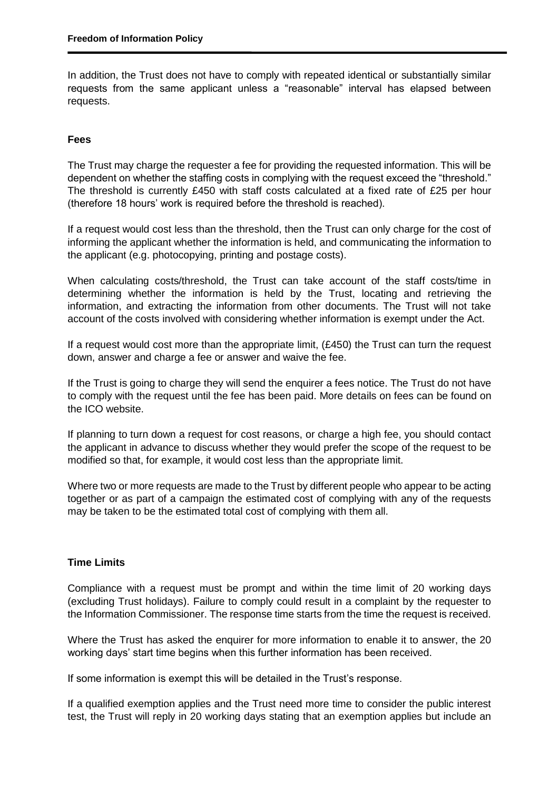In addition, the Trust does not have to comply with repeated identical or substantially similar requests from the same applicant unless a "reasonable" interval has elapsed between requests.

# **Fees**

The Trust may charge the requester a fee for providing the requested information. This will be dependent on whether the staffing costs in complying with the request exceed the "threshold." The threshold is currently £450 with staff costs calculated at a fixed rate of £25 per hour (therefore 18 hours' work is required before the threshold is reached).

If a request would cost less than the threshold, then the Trust can only charge for the cost of informing the applicant whether the information is held, and communicating the information to the applicant (e.g. photocopying, printing and postage costs).

When calculating costs/threshold, the Trust can take account of the staff costs/time in determining whether the information is held by the Trust, locating and retrieving the information, and extracting the information from other documents. The Trust will not take account of the costs involved with considering whether information is exempt under the Act.

If a request would cost more than the appropriate limit, (£450) the Trust can turn the request down, answer and charge a fee or answer and waive the fee.

If the Trust is going to charge they will send the enquirer a fees notice. The Trust do not have to comply with the request until the fee has been paid. More details on fees can be found on the ICO website.

If planning to turn down a request for cost reasons, or charge a high fee, you should contact the applicant in advance to discuss whether they would prefer the scope of the request to be modified so that, for example, it would cost less than the appropriate limit.

Where two or more requests are made to the Trust by different people who appear to be acting together or as part of a campaign the estimated cost of complying with any of the requests may be taken to be the estimated total cost of complying with them all.

### **Time Limits**

Compliance with a request must be prompt and within the time limit of 20 working days (excluding Trust holidays). Failure to comply could result in a complaint by the requester to the Information Commissioner. The response time starts from the time the request is received.

Where the Trust has asked the enquirer for more information to enable it to answer, the 20 working days' start time begins when this further information has been received.

If some information is exempt this will be detailed in the Trust's response.

If a qualified exemption applies and the Trust need more time to consider the public interest test, the Trust will reply in 20 working days stating that an exemption applies but include an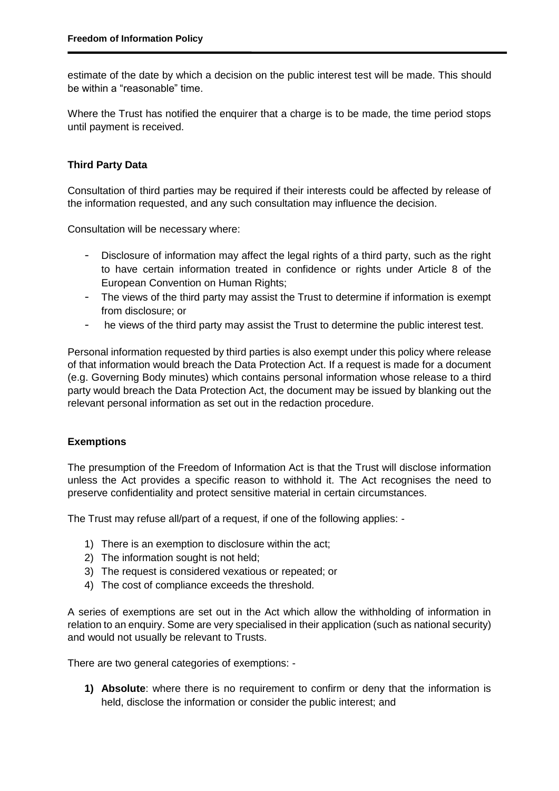estimate of the date by which a decision on the public interest test will be made. This should be within a "reasonable" time.

Where the Trust has notified the enquirer that a charge is to be made, the time period stops until payment is received.

### **Third Party Data**

Consultation of third parties may be required if their interests could be affected by release of the information requested, and any such consultation may influence the decision.

Consultation will be necessary where:

- Disclosure of information may affect the legal rights of a third party, such as the right to have certain information treated in confidence or rights under Article 8 of the European Convention on Human Rights;
- The views of the third party may assist the Trust to determine if information is exempt from disclosure; or
- he views of the third party may assist the Trust to determine the public interest test.

Personal information requested by third parties is also exempt under this policy where release of that information would breach the Data Protection Act. If a request is made for a document (e.g. Governing Body minutes) which contains personal information whose release to a third party would breach the Data Protection Act, the document may be issued by blanking out the relevant personal information as set out in the redaction procedure.

### **Exemptions**

The presumption of the Freedom of Information Act is that the Trust will disclose information unless the Act provides a specific reason to withhold it. The Act recognises the need to preserve confidentiality and protect sensitive material in certain circumstances.

The Trust may refuse all/part of a request, if one of the following applies: -

- 1) There is an exemption to disclosure within the act;
- 2) The information sought is not held;
- 3) The request is considered vexatious or repeated; or
- 4) The cost of compliance exceeds the threshold.

A series of exemptions are set out in the Act which allow the withholding of information in relation to an enquiry. Some are very specialised in their application (such as national security) and would not usually be relevant to Trusts.

There are two general categories of exemptions: -

**1) Absolute**: where there is no requirement to confirm or deny that the information is held, disclose the information or consider the public interest; and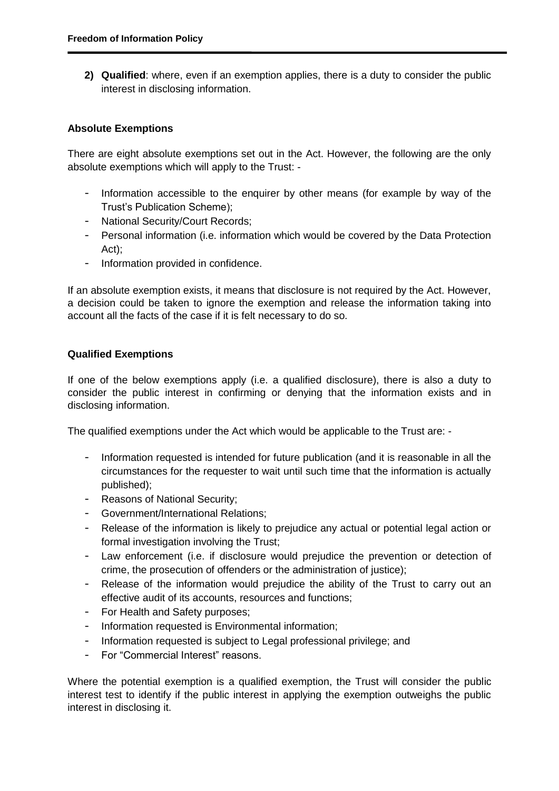**2) Qualified**: where, even if an exemption applies, there is a duty to consider the public interest in disclosing information.

### **Absolute Exemptions**

There are eight absolute exemptions set out in the Act. However, the following are the only absolute exemptions which will apply to the Trust: -

- Information accessible to the enquirer by other means (for example by way of the Trust's Publication Scheme);
- National Security/Court Records;
- Personal information (i.e. information which would be covered by the Data Protection Act);
- Information provided in confidence.

If an absolute exemption exists, it means that disclosure is not required by the Act. However, a decision could be taken to ignore the exemption and release the information taking into account all the facts of the case if it is felt necessary to do so.

### **Qualified Exemptions**

If one of the below exemptions apply (i.e. a qualified disclosure), there is also a duty to consider the public interest in confirming or denying that the information exists and in disclosing information.

The qualified exemptions under the Act which would be applicable to the Trust are: -

- Information requested is intended for future publication (and it is reasonable in all the circumstances for the requester to wait until such time that the information is actually published);
- Reasons of National Security;
- Government/International Relations;
- Release of the information is likely to prejudice any actual or potential legal action or formal investigation involving the Trust;
- Law enforcement (i.e. if disclosure would prejudice the prevention or detection of crime, the prosecution of offenders or the administration of justice);
- Release of the information would prejudice the ability of the Trust to carry out an effective audit of its accounts, resources and functions;
- For Health and Safety purposes;
- Information requested is Environmental information;
- Information requested is subject to Legal professional privilege; and
- For "Commercial Interest" reasons.

Where the potential exemption is a qualified exemption, the Trust will consider the public interest test to identify if the public interest in applying the exemption outweighs the public interest in disclosing it.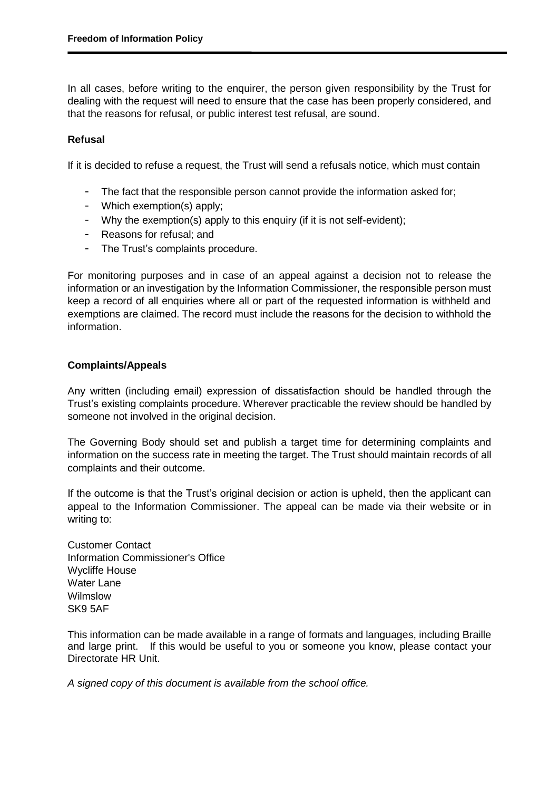In all cases, before writing to the enquirer, the person given responsibility by the Trust for dealing with the request will need to ensure that the case has been properly considered, and that the reasons for refusal, or public interest test refusal, are sound.

## **Refusal**

If it is decided to refuse a request, the Trust will send a refusals notice, which must contain

- The fact that the responsible person cannot provide the information asked for;
- Which exemption(s) apply;
- Why the exemption(s) apply to this enquiry (if it is not self-evident);
- Reasons for refusal; and
- The Trust's complaints procedure.

For monitoring purposes and in case of an appeal against a decision not to release the information or an investigation by the Information Commissioner, the responsible person must keep a record of all enquiries where all or part of the requested information is withheld and exemptions are claimed. The record must include the reasons for the decision to withhold the information.

### **Complaints/Appeals**

Any written (including email) expression of dissatisfaction should be handled through the Trust's existing complaints procedure. Wherever practicable the review should be handled by someone not involved in the original decision.

The Governing Body should set and publish a target time for determining complaints and information on the success rate in meeting the target. The Trust should maintain records of all complaints and their outcome.

If the outcome is that the Trust's original decision or action is upheld, then the applicant can appeal to the Information Commissioner. The appeal can be made via their website or in writing to:

Customer Contact Information Commissioner's Office Wycliffe House Water Lane Wilmslow SK9 5AF

This information can be made available in a range of formats and languages, including Braille and large print. If this would be useful to you or someone you know, please contact your Directorate HR Unit.

*A signed copy of this document is available from the school office.*